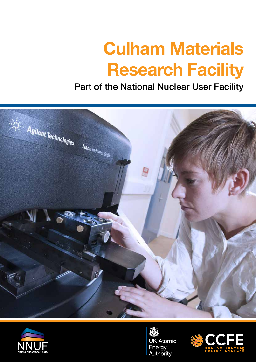# **Culham Materials Research Facility**

## Part of the National Nuclear User Facility





**UK Atomic** Energy<br>Authority

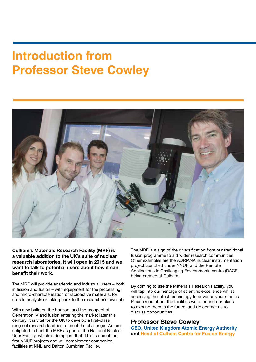## **Introduction from Professor Steve Cowley**



**Culham's Materials Research Facility (MRF) is a valuable addition to the UK's suite of nuclear research laboratories. It will open in 2015 and we want to talk to potential users about how it can benefit their work.**

The MRF will provide academic and industrial users – both in fission and fusion – with equipment for the processing and micro-characterisation of radioactive materials, for on-site analysis or taking back to the researcher's own lab.

With new build on the horizon, and the prospect of Generation IV and fusion entering the market later this century, it is vital for the UK to develop a first-class range of research facilities to meet the challenge. We are delighted to host the MRF as part of the National Nuclear User Facility, which is doing just that. This is one of the first NNUF projects and will complement companion facilities at NNL and Dalton Cumbrian Facility.

The MRF is a sign of the diversification from our traditional fusion programme to aid wider research communities. Other examples are the ADRIANA nuclear instrumentation project launched under NNUF, and the Remote Applications in Challenging Environments centre (RACE) being created at Culham.

By coming to use the Materials Research Facility, you will tap into our heritage of scientific excellence whilst accessing the latest technology to advance your studies. Please read about the facilities we offer and our plans to expand them in the future, and do contact us to discuss opportunities.

#### **Professor Steve Cowley**

**CEO, United Kingdom Atomic Energy Authority and Head of Culham Centre for Fusion Energy**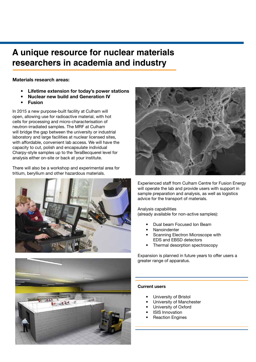#### **A unique resource for nuclear materials researchers in academia and industry**

#### **Materials research areas:**

- **• Lifetime extension for today's power stations**
- **• Nuclear new build and Generation IV**
- **• Fusion**

In 2015 a new purpose-built facility at Culham will open, allowing use for radioactive material, with hot cells for processing and micro-characterisation of neutron-irradiated samples. The MRF at Culham will bridge the gap between the university or industrial laboratory and large facilities at nuclear licensed sites, with affordable, convenient lab access. We will have the capacity to cut, polish and encapsulate individual Charpy-style samples up to the TeraBecquerel level for analysis either on-site or back at your institute.

There will also be a workshop and experimental area for tritium, beryllium and other hazardous materials.





Experienced staff from Culham Centre for Fusion Energy will operate the lab and provide users with support in sample preparation and analysis, as well as logistics advice for the transport of materials.

#### Analysis capabilities

(already available for non-active samples):

- Dual beam Focused Ion Beam
- Nanoindenter
- Scanning Electron Microscope with EDS and EBSD detectors
- Thermal desorption spectroscopy

Expansion is planned in future years to offer users a greater range of apparatus.



- University of Bristol
- University of Manchester
- University of Oxford
- **ISIS Innovation**
- **Reaction Engines**